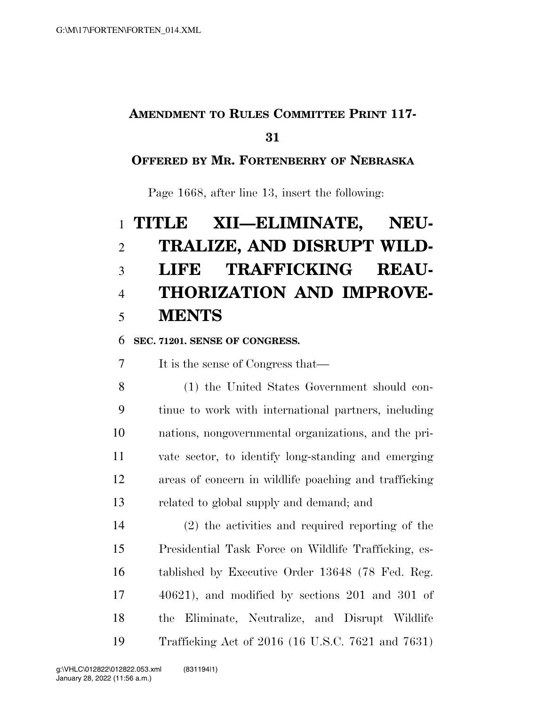## **AMENDMENT TO RULES COMMITTEE PRINT 117-**

#### 

#### **OFFERED BY MR. FORTENBERRY OF NEBRASKA**

Page 1668, after line 13, insert the following:

## **TITLE XII—ELIMINATE, NEU- TRALIZE, AND DISRUPT WILD- LIFE TRAFFICKING REAU- THORIZATION AND IMPROVE-MENTS**

#### **SEC. 71201. SENSE OF CONGRESS.**

It is the sense of Congress that—

 (1) the United States Government should con- tinue to work with international partners, including nations, nongovernmental organizations, and the pri- vate sector, to identify long-standing and emerging areas of concern in wildlife poaching and trafficking related to global supply and demand; and

 (2) the activities and required reporting of the Presidential Task Force on Wildlife Trafficking, es- tablished by Executive Order 13648 (78 Fed. Reg. 40621), and modified by sections 201 and 301 of the Eliminate, Neutralize, and Disrupt Wildlife Trafficking Act of 2016 (16 U.S.C. 7621 and 7631)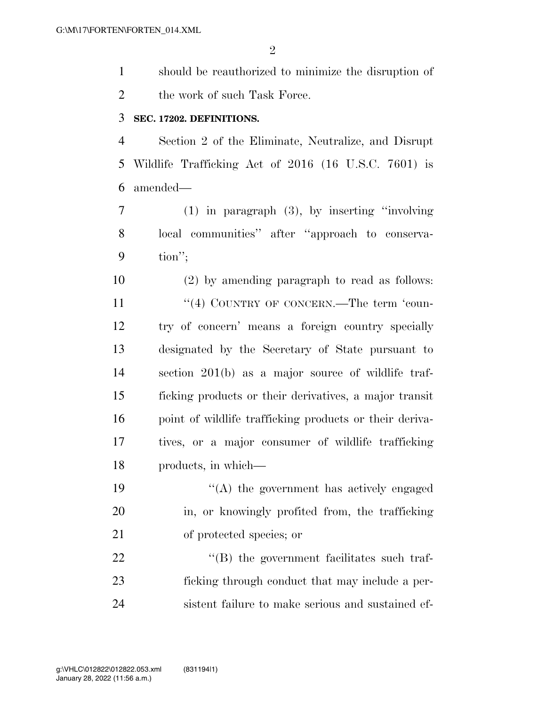should be reauthorized to minimize the disruption of 2 the work of such Task Force.

#### **SEC. 17202. DEFINITIONS.**

 Section 2 of the Eliminate, Neutralize, and Disrupt Wildlife Trafficking Act of 2016 (16 U.S.C. 7601) is amended—

 (1) in paragraph (3), by inserting ''involving local communities'' after ''approach to conserva-tion'';

 (2) by amending paragraph to read as follows: 11 "(4) COUNTRY OF CONCERN.—The term 'coun- try of concern' means a foreign country specially designated by the Secretary of State pursuant to section 201(b) as a major source of wildlife traf- ficking products or their derivatives, a major transit 16 point of wildlife trafficking products or their deriva- tives, or a major consumer of wildlife trafficking products, in which—

19  $\langle (A)$  the government has actively engaged in, or knowingly profited from, the trafficking of protected species; or

22  $\langle (B)$  the government facilitates such traf- ficking through conduct that may include a per-sistent failure to make serious and sustained ef-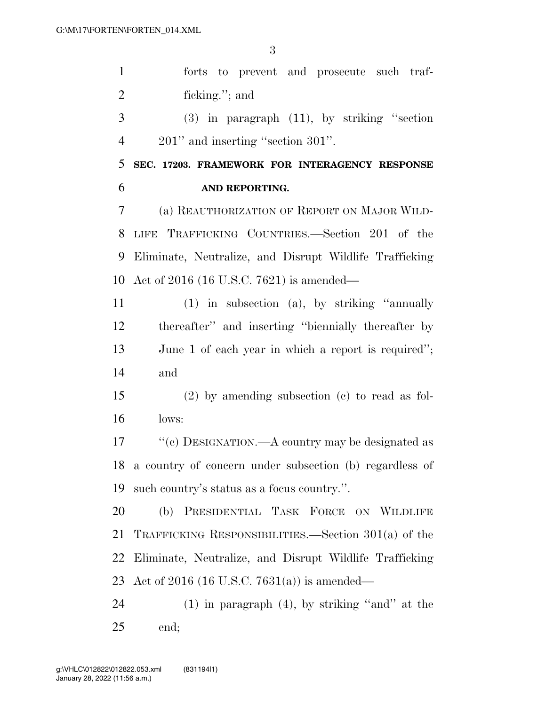forts to prevent and prosecute such traf- ficking.''; and (3) in paragraph (11), by striking ''section 4 201" and inserting "section 301". **SEC. 17203. FRAMEWORK FOR INTERAGENCY RESPONSE AND REPORTING.**  (a) REAUTHORIZATION OF REPORT ON MAJOR WILD- LIFE TRAFFICKING COUNTRIES.—Section 201 of the Eliminate, Neutralize, and Disrupt Wildlife Trafficking Act of 2016 (16 U.S.C. 7621) is amended— (1) in subsection (a), by striking ''annually

 thereafter'' and inserting ''biennially thereafter by June 1 of each year in which a report is required''; and

 (2) by amending subsection (c) to read as fol-lows:

 ''(c) DESIGNATION.—A country may be designated as a country of concern under subsection (b) regardless of such country's status as a focus country.''.

 (b) PRESIDENTIAL TASK FORCE ON WILDLIFE TRAFFICKING RESPONSIBILITIES.—Section 301(a) of the Eliminate, Neutralize, and Disrupt Wildlife Trafficking Act of 2016 (16 U.S.C. 7631(a)) is amended—

 (1) in paragraph (4), by striking ''and'' at the end;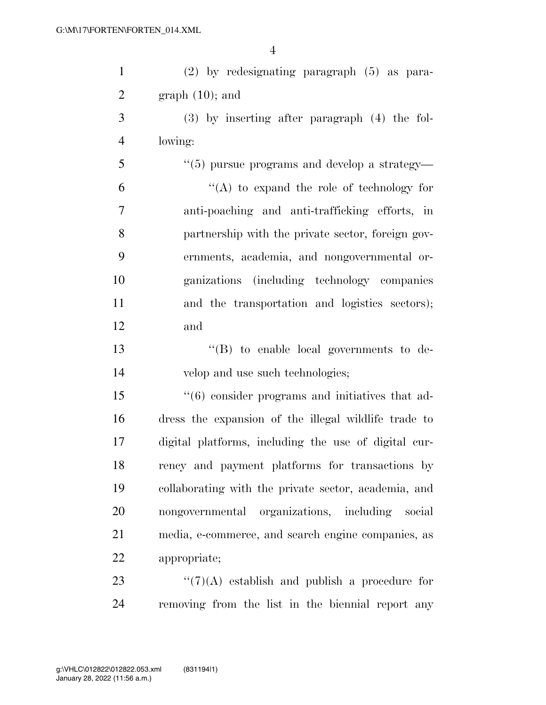| $\mathbf{1}$   | (2) by redesignating paragraph (5) as para-          |
|----------------|------------------------------------------------------|
| $\overline{2}$ | $graph(10)$ ; and                                    |
| 3              | $(3)$ by inserting after paragraph $(4)$ the fol-    |
| $\overline{4}$ | lowing:                                              |
| 5              | $``(5)$ pursue programs and develop a strategy—      |
| 6              | "(A) to expand the role of technology for            |
| 7              | anti-poaching and anti-trafficking efforts, in       |
| 8              | partnership with the private sector, foreign gov-    |
| 9              | ernments, academia, and nongovernmental or-          |
| 10             | ganizations (including technology companies          |
| 11             | and the transportation and logistics sectors);       |
| 12             | and                                                  |
| 13             | "(B) to enable local governments to de-              |
| 14             | velop and use such technologies;                     |
| 15             | $\lq(6)$ consider programs and initiatives that ad-  |
| 16             | dress the expansion of the illegal wildlife trade to |
| 17             | digital platforms, including the use of digital cur- |
| 18             | rency and payment platforms for transactions by      |
| 19             | collaborating with the private sector, academia, and |
| 20             | nongovernmental organizations, including social      |
| 21             | media, e-commerce, and search engine companies, as   |
| 22             | appropriate;                                         |
| 23             | $\lq(7)(A)$ establish and publish a procedure for    |
|                |                                                      |

removing from the list in the biennial report any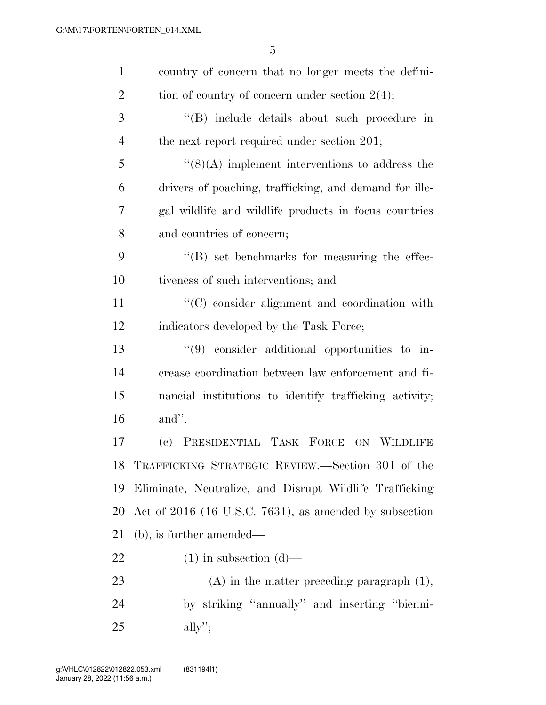| $\mathbf{1}$   | country of concern that no longer meets the defini-     |
|----------------|---------------------------------------------------------|
| $\overline{2}$ | tion of country of concern under section $2(4)$ ;       |
| 3              | "(B) include details about such procedure in            |
| $\overline{4}$ | the next report required under section 201;             |
| 5              | $\lq(8)(A)$ implement interventions to address the      |
| 6              | drivers of poaching, trafficking, and demand for ille-  |
| 7              | gal wildlife and wildlife products in focus countries   |
| 8              | and countries of concern;                               |
| 9              | $\lq\lq (B)$ set benchmarks for measuring the effec-    |
| 10             | tiveness of such interventions; and                     |
| 11             | $\lq\lq$ consider alignment and coordination with       |
| 12             | indicators developed by the Task Force;                 |
| 13             | $\lq(9)$ consider additional opportunities to in-       |
| 14             | crease coordination between law enforcement and fi-     |
| 15             | nancial institutions to identify trafficking activity;  |
| 16             | and".                                                   |
| 17             | (c) PRESIDENTIAL TASK FORCE ON WILDLIFE                 |
| 18             | TRAFFICKING STRATEGIC REVIEW.—Section 301 of the        |
| 19             | Eliminate, Neutralize, and Disrupt Wildlife Trafficking |
| 20             | Act of 2016 (16 U.S.C. 7631), as amended by subsection  |
| 21             | $(b)$ , is further amended—                             |
| <u>22</u>      | $(1)$ in subsection $(d)$ —                             |
| 23             | $(A)$ in the matter preceding paragraph $(1)$ ,         |
| 24             | by striking "annually" and inserting "bienni-           |
| 25             | $\text{ally}$ ";                                        |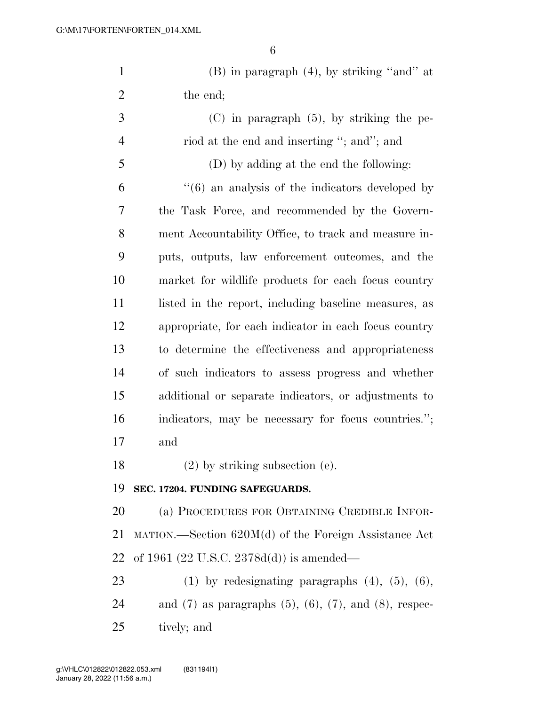| $\mathbf{1}$   | $(B)$ in paragraph $(4)$ , by striking "and" at                     |
|----------------|---------------------------------------------------------------------|
| $\overline{2}$ | the end;                                                            |
| 3              | $(C)$ in paragraph $(5)$ , by striking the pe-                      |
| $\overline{4}$ | riod at the end and inserting "; and"; and                          |
| 5              | (D) by adding at the end the following:                             |
| 6              | $\cdot\cdot\cdot(6)$ an analysis of the indicators developed by     |
| 7              | the Task Force, and recommended by the Govern-                      |
| 8              | ment Accountability Office, to track and measure in-                |
| 9              | puts, outputs, law enforcement outcomes, and the                    |
| 10             | market for wildlife products for each focus country                 |
| 11             | listed in the report, including baseline measures, as               |
| 12             | appropriate, for each indicator in each focus country               |
| 13             | to determine the effectiveness and appropriateness                  |
| 14             | of such indicators to assess progress and whether                   |
| 15             | additional or separate indicators, or adjustments to                |
| 16             | indicators, may be necessary for focus countries.";                 |
| 17             | and                                                                 |
| 18             | $(2)$ by striking subsection $(e)$ .                                |
| 19             | SEC. 17204. FUNDING SAFEGUARDS.                                     |
| 20             | (a) PROCEDURES FOR OBTAINING CREDIBLE INFOR-                        |
| 21             | $MATION.$ Section $620M(d)$ of the Foreign Assistance Act           |
| 22             | of 1961 (22 U.S.C. 2378d(d)) is amended—                            |
| 23             | $(1)$ by redesignating paragraphs $(4)$ , $(5)$ , $(6)$ ,           |
| 24             | and $(7)$ as paragraphs $(5)$ , $(6)$ , $(7)$ , and $(8)$ , respec- |
| 25             | tively; and                                                         |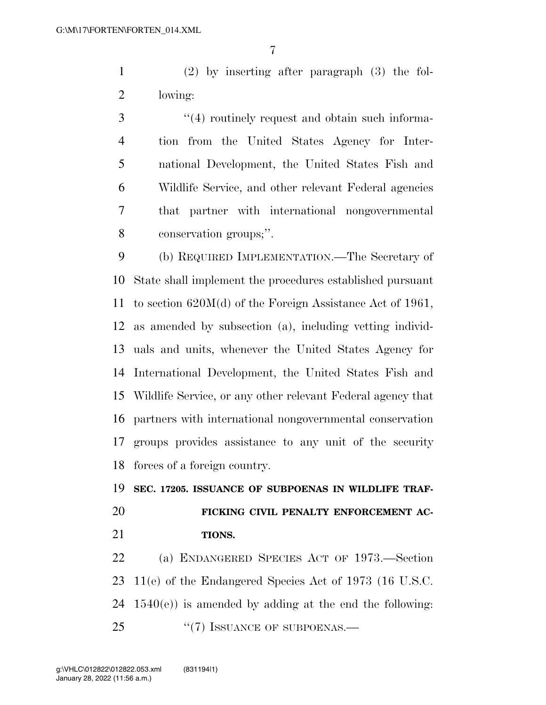(2) by inserting after paragraph (3) the fol-lowing:

3 (4) routinely request and obtain such informa- tion from the United States Agency for Inter- national Development, the United States Fish and Wildlife Service, and other relevant Federal agencies that partner with international nongovernmental conservation groups;''.

 (b) REQUIRED IMPLEMENTATION.—The Secretary of State shall implement the procedures established pursuant to section 620M(d) of the Foreign Assistance Act of 1961, as amended by subsection (a), including vetting individ- uals and units, whenever the United States Agency for International Development, the United States Fish and Wildlife Service, or any other relevant Federal agency that partners with international nongovernmental conservation groups provides assistance to any unit of the security forces of a foreign country.

**SEC. 17205. ISSUANCE OF SUBPOENAS IN WILDLIFE TRAF-**

# **FICKING CIVIL PENALTY ENFORCEMENT AC-**

**TIONS.** 

 (a) ENDANGERED SPECIES ACT OF 1973.—Section 11(e) of the Endangered Species Act of 1973 (16 U.S.C.  $1540(e)$  is amended by adding at the end the following: 25 "(7) ISSUANCE OF SUBPOENAS.—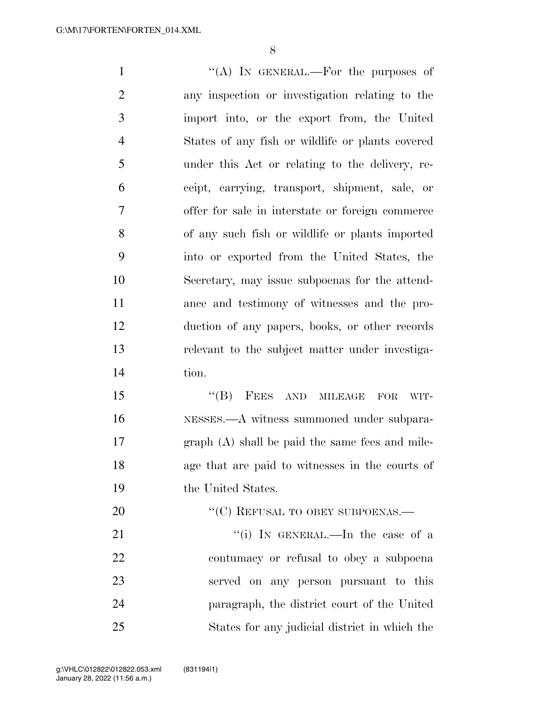1 ''(A) In GENERAL.—For the purposes of any inspection or investigation relating to the import into, or the export from, the United States of any fish or wildlife or plants covered under this Act or relating to the delivery, re- ceipt, carrying, transport, shipment, sale, or offer for sale in interstate or foreign commerce of any such fish or wildlife or plants imported into or exported from the United States, the Secretary, may issue subpoenas for the attend- ance and testimony of witnesses and the pro- duction of any papers, books, or other records relevant to the subject matter under investiga- tion. 15 "(B) FEES AND MILEAGE FOR WIT- NESSES.—A witness summoned under subpara- graph (A) shall be paid the same fees and mile- age that are paid to witnesses in the courts of the United States. 20 "'(C) REFUSAL TO OBEY SUBPOENAS.— 21 ''(i) In GENERAL.—In the case of a contumacy or refusal to obey a subpoena

 served on any person pursuant to this paragraph, the district court of the United States for any judicial district in which the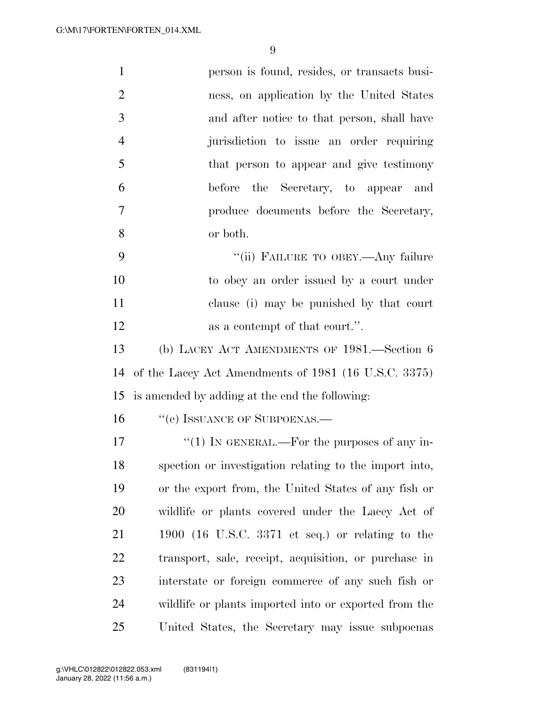| $\mathbf{1}$   | person is found, resides, or transacts busi-           |  |
|----------------|--------------------------------------------------------|--|
| $\overline{2}$ | ness, on application by the United States              |  |
| 3              | and after notice to that person, shall have            |  |
| $\overline{4}$ | jurisdiction to issue an order requiring               |  |
| 5              | that person to appear and give testimony               |  |
| 6              | before the Secretary, to appear<br>and                 |  |
| 7              | produce documents before the Secretary,                |  |
| 8              | or both.                                               |  |
| 9              | "(ii) FAILURE TO OBEY.—Any failure                     |  |
| 10             | to obey an order issued by a court under               |  |
| 11             | clause (i) may be punished by that court               |  |
| 12             | as a contempt of that court.".                         |  |
| 13             | (b) LACEY ACT AMENDMENTS OF 1981.—Section 6            |  |
| 14             | of the Lacey Act Amendments of 1981 (16 U.S.C. 3375)   |  |
| 15             | is amended by adding at the end the following:         |  |
| 16             | "(e) ISSUANCE OF SUBPOENAS.—                           |  |
| 17             | "(1) IN GENERAL.—For the purposes of any in-           |  |
| 18             | spection or investigation relating to the import into, |  |
| 19             | or the export from, the United States of any fish or   |  |
| 20             | wildlife or plants covered under the Lacey Act of      |  |
| 21             | 1900 (16 U.S.C. 3371 et seq.) or relating to the       |  |
| 22             | transport, sale, receipt, acquisition, or purchase in  |  |
| 23             | interstate or foreign commerce of any such fish or     |  |
| 24             | wildlife or plants imported into or exported from the  |  |
| 25             | United States, the Secretary may issue subpoenas       |  |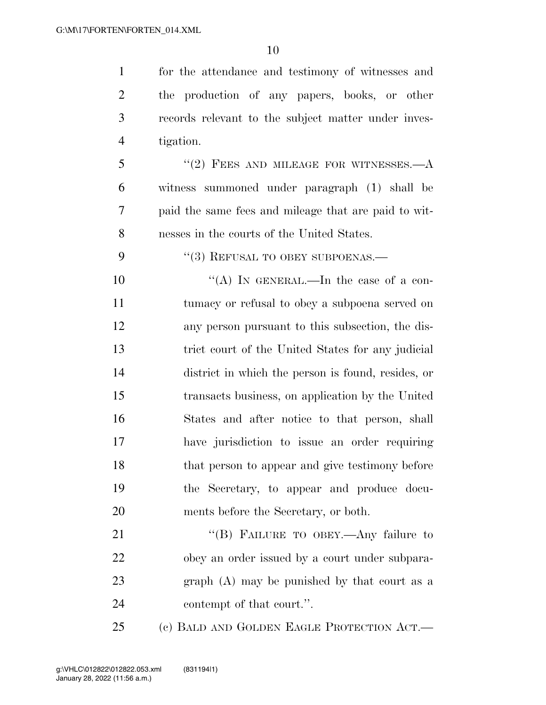for the attendance and testimony of witnesses and the production of any papers, books, or other records relevant to the subject matter under inves- tigation. "(2) FEES AND MILEAGE FOR WITNESSES.—A witness summoned under paragraph (1) shall be paid the same fees and mileage that are paid to wit- nesses in the courts of the United States. 9 "(3) REFUSAL TO OBEY SUBPOENAS.—  $((A)$  In GENERAL.—In the case of a con- tumacy or refusal to obey a subpoena served on any person pursuant to this subsection, the dis- trict court of the United States for any judicial district in which the person is found, resides, or transacts business, on application by the United States and after notice to that person, shall have jurisdiction to issue an order requiring

18 that person to appear and give testimony before the Secretary, to appear and produce docu- ments before the Secretary, or both. 21 "(B) FAILURE TO OBEY.—Any failure to obey an order issued by a court under subpara-

 graph (A) may be punished by that court as a 24 contempt of that court.".

(c) BALD AND GOLDEN EAGLE PROTECTION ACT.—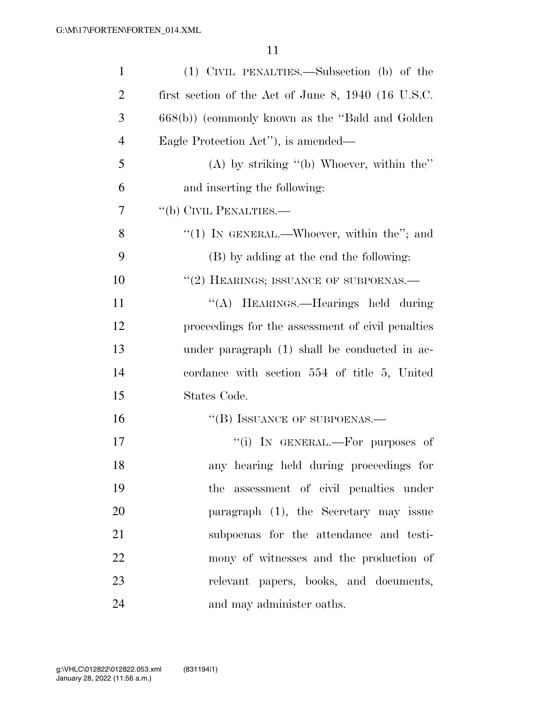| $\mathbf{1}$   | (1) CIVIL PENALTIES.—Subsection (b) of the          |
|----------------|-----------------------------------------------------|
| $\overline{2}$ | first section of the Act of June 8, 1940 (16 U.S.C. |
| 3              | $668(b)$ ) (commonly known as the "Bald and Golden" |
| $\overline{4}$ | Eagle Protection Act"), is amended—                 |
| 5              | $(A)$ by striking " $(b)$ Whoever, within the"      |
| 6              | and inserting the following:                        |
| 7              | "(b) CIVIL PENALTIES.—                              |
| 8              | "(1) IN GENERAL.—Whoever, within the"; and          |
| 9              | (B) by adding at the end the following:             |
| 10             | "(2) HEARINGS; ISSUANCE OF SUBPOENAS.—              |
| 11             | "(A) HEARINGS.—Hearings held during                 |
| 12             | proceedings for the assessment of civil penalties   |
| 13             | under paragraph (1) shall be conducted in ac-       |
| 14             | cordance with section 554 of title 5, United        |
| 15             | States Code.                                        |
| 16             | "(B) ISSUANCE OF SUBPOENAS.—                        |
| 17             | "(i) IN GENERAL.—For purposes of                    |
| 18             | any hearing held during proceedings for             |
| 19             | the assessment of civil penalties under             |
| 20             | paragraph (1), the Secretary may issue              |
| 21             | subpoenas for the attendance and testi-             |
| 22             | mony of witnesses and the production of             |
| 23             | relevant papers, books, and documents,              |
| 24             | and may administer oaths.                           |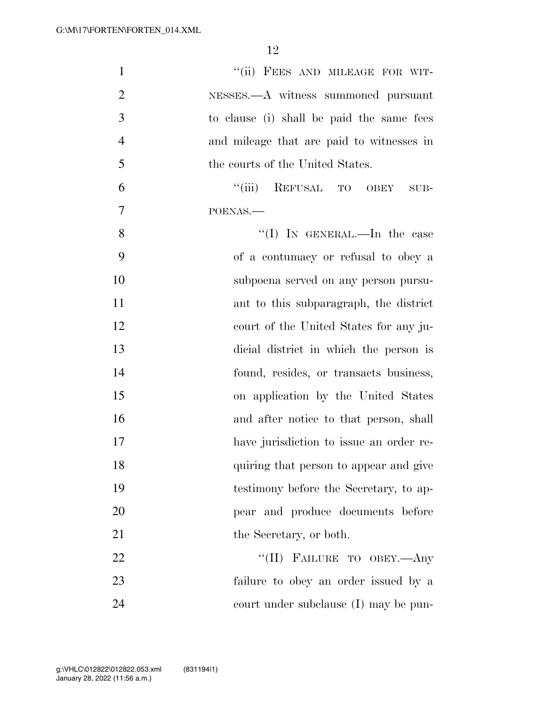| $\mathbf{1}$   | "(ii) FEES AND MILEAGE FOR WIT-           |
|----------------|-------------------------------------------|
| $\overline{2}$ | NESSES.—A witness summoned pursuant       |
| 3              | to clause (i) shall be paid the same fees |
| $\overline{4}$ | and mileage that are paid to witnesses in |
| 5              | the courts of the United States.          |
| 6              | "(iii) REFUSAL TO OBEY<br>SUB-            |
| 7              | POENAS.                                   |
| 8              | "(I) IN GENERAL.—In the case              |
| 9              | of a contumacy or refusal to obey a       |
| 10             | subpoena served on any person pursu-      |
| 11             | ant to this subparagraph, the district    |
| 12             | court of the United States for any ju-    |
| 13             | dicial district in which the person is    |
| 14             | found, resides, or transacts business,    |
| 15             | on application by the United States       |
| 16             | and after notice to that person, shall    |
| 17             | have jurisdiction to issue an order re-   |
| 18             | quiring that person to appear and give    |
| 19             | testimony before the Secretary, to ap-    |
| 20             | pear and produce documents before         |
| 21             | the Secretary, or both.                   |
| 22             | "(II) FAILURE TO OBEY.—Any                |
| 23             | failure to obey an order issued by a      |
| 24             | court under subclause (I) may be pun-     |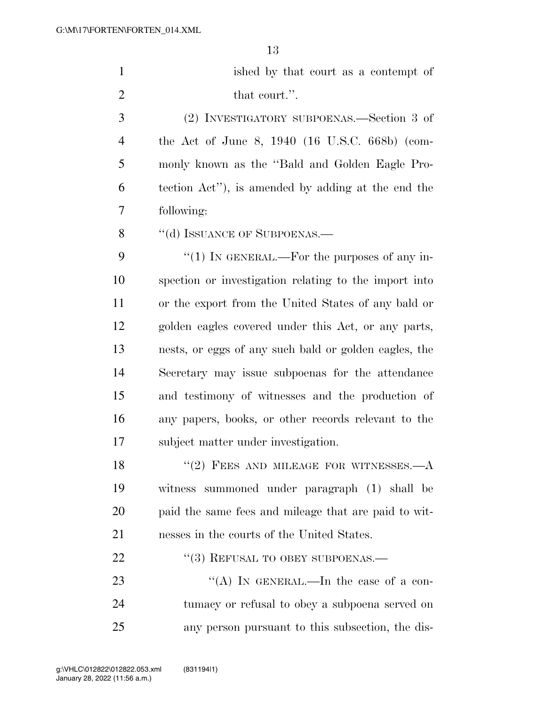| ished by that court as a contempt of |
|--------------------------------------|
| that court.".                        |

 (2) INVESTIGATORY SUBPOENAS.—Section 3 of the Act of June 8, 1940 (16 U.S.C. 668b) (com- monly known as the ''Bald and Golden Eagle Pro- tection Act''), is amended by adding at the end the following:

8 "(d) ISSUANCE OF SUBPOENAS.—

 $\cdot$  (1) In GENERAL.—For the purposes of any in- spection or investigation relating to the import into or the export from the United States of any bald or golden eagles covered under this Act, or any parts, nests, or eggs of any such bald or golden eagles, the Secretary may issue subpoenas for the attendance and testimony of witnesses and the production of any papers, books, or other records relevant to the subject matter under investigation.

18 "(2) FEES AND MILEAGE FOR WITNESSES.—A witness summoned under paragraph (1) shall be paid the same fees and mileage that are paid to wit-nesses in the courts of the United States.

22 "(3) REFUSAL TO OBEY SUBPOENAS.—

23 "(A) IN GENERAL.—In the case of a con- tumacy or refusal to obey a subpoena served on any person pursuant to this subsection, the dis-